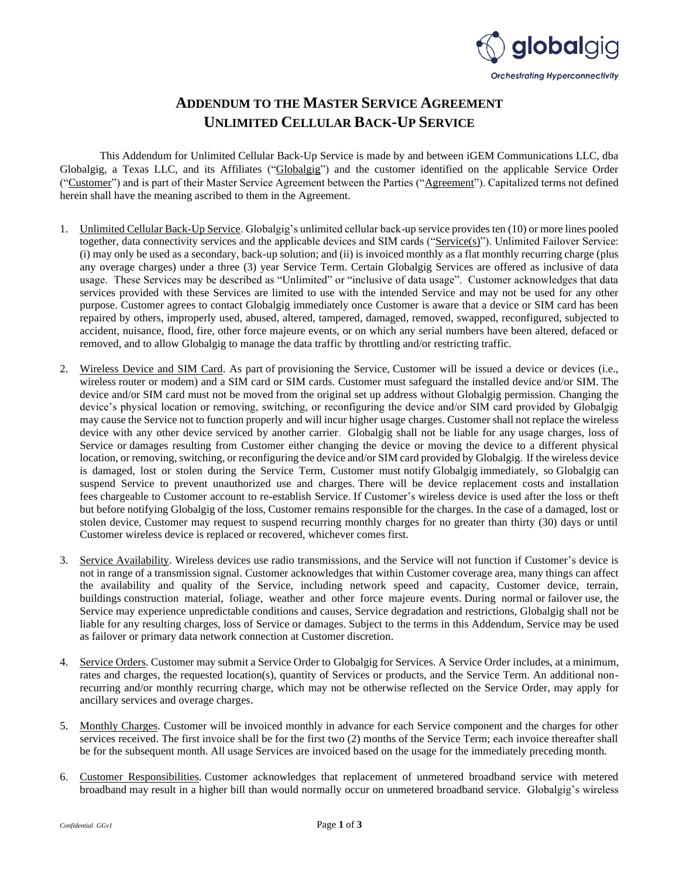

## **ADDENDUM TO THE MASTER SERVICE AGREEMENT UNLIMITED CELLULAR BACK-UP SERVICE**

This Addendum for Unlimited Cellular Back-Up Service is made by and between iGEM Communications LLC, dba Globalgig, a Texas LLC, and its Affiliates ("Globalgig") and the customer identified on the applicable Service Order ("Customer") and is part of their Master Service Agreement between the Parties ("Agreement"). Capitalized terms not defined herein shall have the meaning ascribed to them in the Agreement.

- 1. Unlimited Cellular Back-Up Service. Globalgig's unlimited cellular back-up service provides ten (10) or more lines pooled together, data connectivity services and the applicable devices and SIM cards ("Service(s)"). Unlimited Failover Service: (i) may only be used as a secondary, back-up solution; and (ii) is invoiced monthly as a flat monthly recurring charge (plus any overage charges) under a three (3) year Service Term. Certain Globalgig Services are offered as inclusive of data usage. These Services may be described as "Unlimited" or "inclusive of data usage". Customer acknowledges that data services provided with these Services are limited to use with the intended Service and may not be used for any other purpose. Customer agrees to contact Globalgig immediately once Customer is aware that a device or SIM card has been repaired by others, improperly used, abused, altered, tampered, damaged, removed, swapped, reconfigured, subjected to accident, nuisance, flood, fire, other force majeure events, or on which any serial numbers have been altered, defaced or removed, and to allow Globalgig to manage the data traffic by throttling and/or restricting traffic.
- 2. Wireless Device and SIM Card. As part of provisioning the Service, Customer will be issued a device or devices (i.e., wireless router or modem) and a SIM card or SIM cards. Customer must safeguard the installed device and/or SIM. The device and/or SIM card must not be moved from the original set up address without Globalgig permission. Changing the device's physical location or removing, switching, or reconfiguring the device and/or SIM card provided by Globalgig may cause the Service not to function properly and will incur higher usage charges. Customer shall not replace the wireless device with any other device serviced by another carrier. Globalgig shall not be liable for any usage charges, loss of Service or damages resulting from Customer either changing the device or moving the device to a different physical location, or removing, switching, or reconfiguring the device and/or SIM card provided by Globalgig. If the wireless device is damaged, lost or stolen during the Service Term, Customer must notify Globalgig immediately, so Globalgig can suspend Service to prevent unauthorized use and charges. There will be device replacement costs and installation fees chargeable to Customer account to re-establish Service. If Customer's wireless device is used after the loss or theft but before notifying Globalgig of the loss, Customer remains responsible for the charges. In the case of a damaged, lost or stolen device, Customer may request to suspend recurring monthly charges for no greater than thirty (30) days or until Customer wireless device is replaced or recovered, whichever comes first.
- 3. Service Availability. Wireless devices use radio transmissions, and the Service will not function if Customer's device is not in range of a transmission signal. Customer acknowledges that within Customer coverage area, many things can affect the availability and quality of the Service, including network speed and capacity, Customer device, terrain, buildings construction material, foliage, weather and other force majeure events. During normal or failover use, the Service may experience unpredictable conditions and causes, Service degradation and restrictions, Globalgig shall not be liable for any resulting charges, loss of Service or damages. Subject to the terms in this Addendum, Service may be used as failover or primary data network connection at Customer discretion.
- 4. Service Orders. Customer may submit a Service Order to Globalgig for Services. A Service Order includes, at a minimum, rates and charges, the requested location(s), quantity of Services or products, and the Service Term. An additional nonrecurring and/or monthly recurring charge, which may not be otherwise reflected on the Service Order, may apply for ancillary services and overage charges.
- 5. Monthly Charges. Customer will be invoiced monthly in advance for each Service component and the charges for other services received. The first invoice shall be for the first two (2) months of the Service Term; each invoice thereafter shall be for the subsequent month. All usage Services are invoiced based on the usage for the immediately preceding month.
- 6. Customer Responsibilities. Customer acknowledges that replacement of unmetered broadband service with metered broadband may result in a higher bill than would normally occur on unmetered broadband service. Globalgig's wireless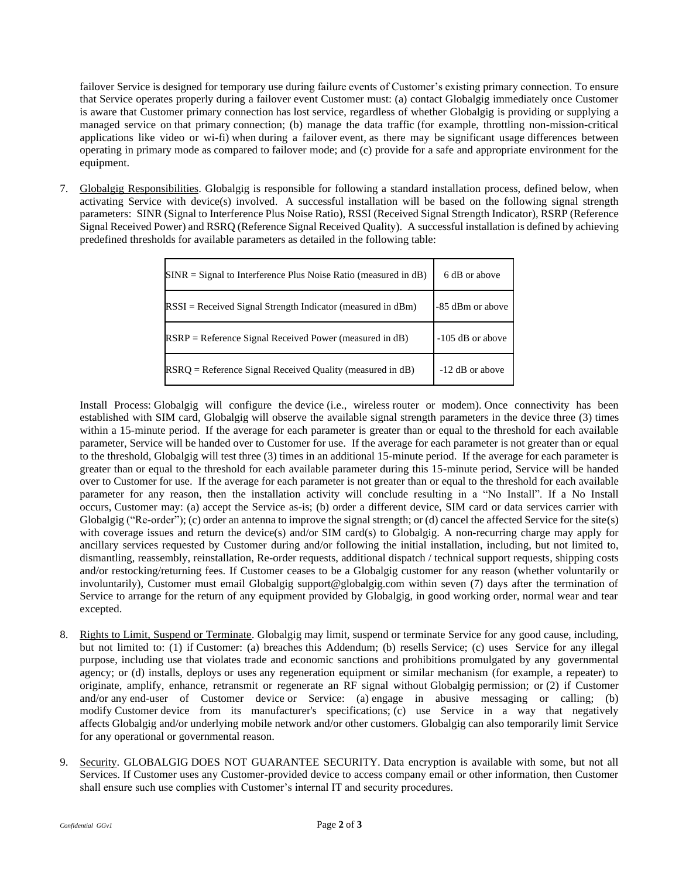failover Service is designed for temporary use during failure events of Customer's existing primary connection. To ensure that Service operates properly during a failover event Customer must: (a) contact Globalgig immediately once Customer is aware that Customer primary connection has lost service, regardless of whether Globalgig is providing or supplying a managed service on that primary connection; (b) manage the data traffic (for example, throttling non-mission-critical applications like video or wi-fi) when during a failover event, as there may be significant usage differences between operating in primary mode as compared to failover mode; and (c) provide for a safe and appropriate environment for the equipment.

7. Globalgig Responsibilities. Globalgig is responsible for following a standard installation process, defined below, when activating Service with device(s) involved. A successful installation will be based on the following signal strength parameters: SINR (Signal to Interference Plus Noise Ratio), RSSI (Received Signal Strength Indicator), RSRP (Reference Signal Received Power) and RSRQ (Reference Signal Received Quality). A successful installation is defined by achieving predefined thresholds for available parameters as detailed in the following table:

| $SINR = Signal$ to Interference Plus Noise Ratio (measured in dB) | 6 dB or above      |
|-------------------------------------------------------------------|--------------------|
| $RSSI = Received Signal Strength Indicator (measured in dBm)$     | -85 dBm or above   |
| $RSRP = Reference Signal Received Power (measured in dB)$         | $-105$ dB or above |
| $RSRQ =$ Reference Signal Received Quality (measured in dB)       | -12 dB or above    |

Install Process: Globalgig will configure the device (i.e., wireless router or modem). Once connectivity has been established with SIM card, Globalgig will observe the available signal strength parameters in the device three (3) times within a 15-minute period. If the average for each parameter is greater than or equal to the threshold for each available parameter, Service will be handed over to Customer for use. If the average for each parameter is not greater than or equal to the threshold, Globalgig will test three (3) times in an additional 15-minute period. If the average for each parameter is greater than or equal to the threshold for each available parameter during this 15-minute period, Service will be handed over to Customer for use. If the average for each parameter is not greater than or equal to the threshold for each available parameter for any reason, then the installation activity will conclude resulting in a "No Install". If a No Install occurs, Customer may: (a) accept the Service as-is; (b) order a different device, SIM card or data services carrier with Globalgig ("Re-order"); (c) order an antenna to improve the signal strength; or (d) cancel the affected Service for the site(s) with coverage issues and return the device(s) and/or SIM card(s) to Globalgig. A non-recurring charge may apply for ancillary services requested by Customer during and/or following the initial installation, including, but not limited to, dismantling, reassembly, reinstallation, Re-order requests, additional dispatch / technical support requests, shipping costs and/or restocking/returning fees. If Customer ceases to be a Globalgig customer for any reason (whether voluntarily or involuntarily), Customer must email Globalgig support@globalgig.com within seven (7) days after the termination of Service to arrange for the return of any equipment provided by Globalgig, in good working order, normal wear and tear excepted.

- 8. Rights to Limit, Suspend or Terminate. Globalgig may limit, suspend or terminate Service for any good cause, including, but not limited to: (1) if Customer: (a) breaches this Addendum; (b) resells Service; (c) uses Service for any illegal purpose, including use that violates trade and economic sanctions and prohibitions promulgated by any governmental agency; or (d) installs, deploys or uses any regeneration equipment or similar mechanism (for example, a repeater) to originate, amplify, enhance, retransmit or regenerate an RF signal without Globalgig permission; or (2) if Customer and/or any end-user of Customer device or Service: (a) engage in abusive messaging or calling; (b) modify Customer device from its manufacturer's specifications; (c) use Service in a way that negatively affects Globalgig and/or underlying mobile network and/or other customers. Globalgig can also temporarily limit Service for any operational or governmental reason.
- 9. Security. GLOBALGIG DOES NOT GUARANTEE SECURITY. Data encryption is available with some, but not all Services. If Customer uses any Customer-provided device to access company email or other information, then Customer shall ensure such use complies with Customer's internal IT and security procedures.